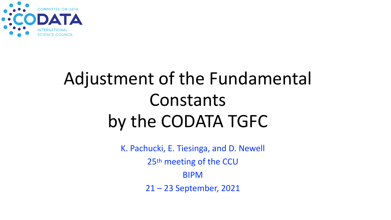

# Adjustment of the Fundamental Constants by the CODATA TGFC

K. Pachucki, E. Tiesinga, and D. Newell 25th meeting of the CCU BIPM 21 – 23 September, 2021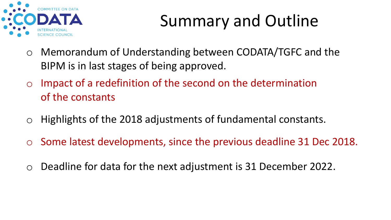

## Summary and Outline

- o Memorandum of Understanding between CODATA/TGFC and the BIPM is in last stages of being approved.
- $\circ$  Impact of a redefinition of the second on the determination of the constants
- $\circ$  Highlights of the 2018 adjustments of fundamental constants.
- o Some latest developments, since the previous deadline 31 Dec 2018.
- o Deadline for data for the next adjustment is 31 December 2022.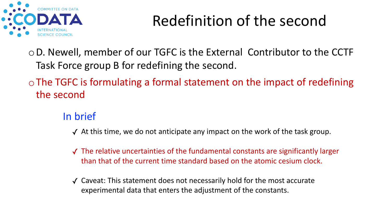

### Redefinition of the second

oD. Newell, member of our TGFC is the External Contributor to the CCTF Task Force group B for redefining the second.

 $\circ$  The TGFC is formulating a formal statement on the impact of redefining the second

#### In brief

- $\checkmark$  At this time, we do not anticipate any impact on the work of the task group.
- ✓ The relative uncertainties of the fundamental constants are significantly larger than that of the current time standard based on the atomic cesium clock.
- ✓ Caveat: This statement does not necessarily hold for the most accurate experimental data that enters the adjustment of the constants.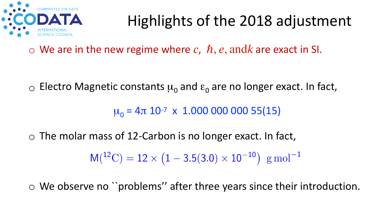

## Highlights of the 2018 adjustment

 $\circ$  We are in the new regime where c,  $\hbar$ , e, and k are exact in SI.

 $\circ$  Electro Magnetic constants  $\mu_0$  and  $\varepsilon_0$  are no longer exact. In fact,

 $\mu_0 = 4\pi 10^{-7} \times 1.000\,000\,000\,55(15)$ 

 $\circ$  The molar mass of 12-Carbon is no longer exact. In fact,

 $M(^{12}C) = 12 \times (1 - 3.5(3.0) \times 10^{-10})$  g mol<sup>-1</sup>

o We observe no ``problems'' after three years since their introduction.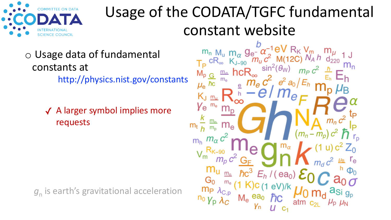

### Usage of the CODATA/TGFC fundamental constant website

#### o Usage data of fundamental constants at http://physics.nist.gov/constants

✓ A larger symbol implies more requests

g<sub>n</sub> is earth's gravitational acceleration

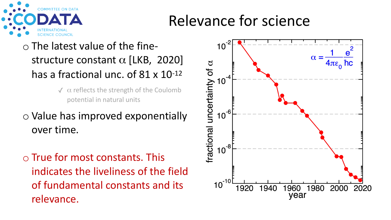

### Relevance for science

#### o The latest value of the finestructure constant  $\alpha$  [LKB, 2020] has a fractional unc. of 81 x 10-12

- $\sqrt{\alpha}$  reflects the strength of the Coulomb potential in natural units
- o Value has improved exponentially over time.
- o True for most constants. This indicates the liveliness of the field of fundamental constants and its relevance.

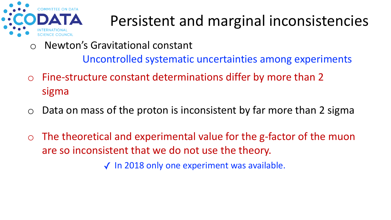

## Persistent and marginal inconsistencies

o Newton's Gravitational constant

Uncontrolled systematic uncertainties among experiments

- o Fine-structure constant determinations differ by more than 2 sigma
- $\circ$  Data on mass of the proton is inconsistent by far more than 2 sigma
- $\circ$  The theoretical and experimental value for the g-factor of the muon are so inconsistent that we do not use the theory.

✓ In 2018 only one experiment was available.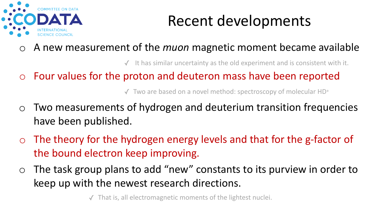

### Recent developments

o A new measurement of the *muon* magnetic moment became available

 $\checkmark$  It has similar uncertainty as the old experiment and is consistent with it.

o Four values for the proton and deuteron mass have been reported

✓ Two are based on a novel method: spectroscopy of molecular HD+

- o Two measurements of hydrogen and deuterium transition frequencies have been published.
- $\circ$  The theory for the hydrogen energy levels and that for the g-factor of the bound electron keep improving.
- $\circ$  The task group plans to add "new" constants to its purview in order to keep up with the newest research directions.

That is, all electromagnetic moments of the lightest nuclei.